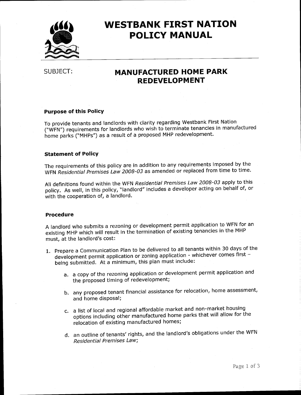

## **WESTBANK FIRST NATION POLICY MANUAL**

SUBJECT:

## **MANUFACTURED HOME PARK REDEVELOPMENT**

#### **Purpose of this Policy**

To provide tenants and landlords with clarity regarding Westbank First Nation ("WFN") requirements for landlords who wish to terminate tenancies in manufactured home parks ("MHPs") as a result of a proposed MHP redevelopment.

#### **Statement of Policy**

The requirements of this policy are in addition to any requirements imposed by the WFN Residential Premises Law 2008-03 as amended or replaced from time to time.

All definitions found within the WFN Residential Premises Law 2008-03 apply to this policy. As well, in this policy, "landlord" includes a developer acting on behalf of, or with the cooperation of, a landlord.

#### **Procedure**

A landlord who submits a rezoning or development permit application to WFN for an existing MHP which will result in the termination of existing tenancies in the MHP must, at the landlord's cost:

- 1. Prepare a Communication Plan to be delivered to all tenants within 30 days of the development permit application or zoning application - whichever comes first being submitted. At a minimum, this plan must include:
	- a. a copy of the rezoning application or development permit application and the proposed timing of redevelopment;
	- b. any proposed tenant financial assistance for relocation, home assessment, and home disposal;
	- c. a list of local and regional affordable market and non-market housing options including other manufactured home parks that will allow for the relocation of existing manufactured homes;
	- d. an outline of tenants' rights, and the landlord's obligations under the WFN Residential Premises Law;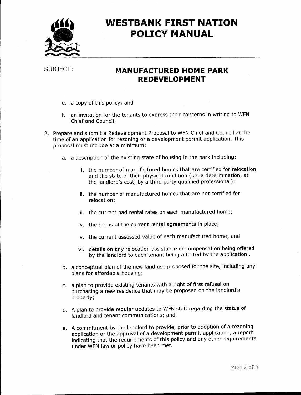

# **WESTBANK FIRST NATION POLICY MANUAL**

### SUBJECT:

## **MANUFACTURED HOME PARK REDEVELOPMENT**

- e. a copy of this policy; and
- f. an invitation for the tenants to express their concerns in writing to WFN Chief and Council.
- 2. Prepare and submit a Redevelopment Proposal to WFN Chief and Council at the time of an application for rezoning or a development permit application. This proposal must include at a minimum:
	- a. a description of the existing state of housing in the park including:
		- i. the number of manufactured homes that are certified for relocation and the state of their physical condition (i.e. a determination, at the landlord's cost, by a third party qualified professional);
		- ii. the number of manufactured homes that are not certified for relocation;
		- iii. the current pad rental rates on each manufactured home;
		- iv. the terms of the current rental agreements in place;
		- v. the current assessed value of each manufactured home; and
		- vi. details on any relocation assistance or compensation being offered by the landlord to each tenant being affected by the application.
	- b. a conceptual plan of the new land use proposed for the site, including any plans for affordable housing;
	- c. a plan to provide existing tenants with a right of first refusal on purchasing a new residence that may be proposed on the landlord's property;
	- d. A plan to provide regular updates to WFN staff regarding the status of landlord and tenant communications; and
	- e. A commitment by the landlord to provide, prior to adoption of a rezoning application or the approval of a development permit application, a report indicating that the requirements of this policy and any other requirements under WFN law or policy have been met.